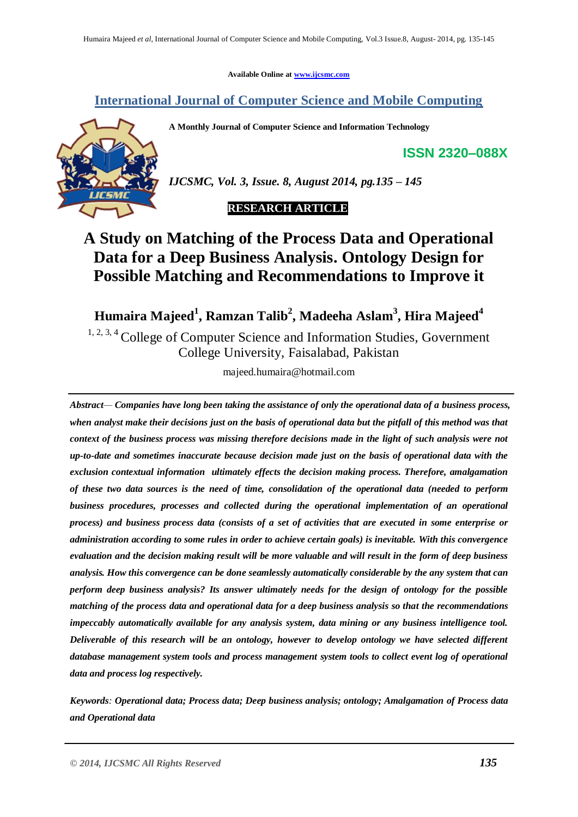**Available Online at [www.ijcsmc.com](http://www.ijcsmc.com/)**

# **International Journal of Computer Science and Mobile Computing**

**A Monthly Journal of Computer Science and Information Technology**

**ISSN 2320–088X**



*IJCSMC, Vol. 3, Issue. 8, August 2014, pg.135 – 145*

## **RESEARCH ARTICLE**

# **A Study on Matching of the Process Data and Operational Data for a Deep Business Analysis. Ontology Design for Possible Matching and Recommendations to Improve it**

**Humaira Majeed<sup>1</sup> , Ramzan Talib<sup>2</sup> , Madeeha Aslam<sup>3</sup> , Hira Majeed<sup>4</sup>**

<sup>1, 2, 3, 4</sup> College of Computer Science and Information Studies, Government College University, Faisalabad, Pakistan

majeed.humaira@hotmail.com

*Abstract— Companies have long been taking the assistance of only the operational data of a business process, when analyst make their decisions just on the basis of operational data but the pitfall of this method was that context of the business process was missing therefore decisions made in the light of such analysis were not up-to-date and sometimes inaccurate because decision made just on the basis of operational data with the exclusion contextual information ultimately effects the decision making process. Therefore, amalgamation of these two data sources is the need of time, consolidation of the operational data (needed to perform business procedures, processes and collected during the operational implementation of an operational process) and business process data (consists of a set of activities that are executed in some enterprise or administration according to some rules in order to achieve certain goals) is inevitable. With this convergence evaluation and the decision making result will be more valuable and will result in the form of deep business analysis. How this convergence can be done seamlessly automatically considerable by the any system that can perform deep business analysis? Its answer ultimately needs for the design of ontology for the possible matching of the process data and operational data for a deep business analysis so that the recommendations impeccably automatically available for any analysis system, data mining or any business intelligence tool. Deliverable of this research will be an ontology, however to develop ontology we have selected different database management system tools and process management system tools to collect event log of operational data and process log respectively.*

*Keywords: Operational data; Process data; Deep business analysis; ontology; Amalgamation of Process data and Operational data*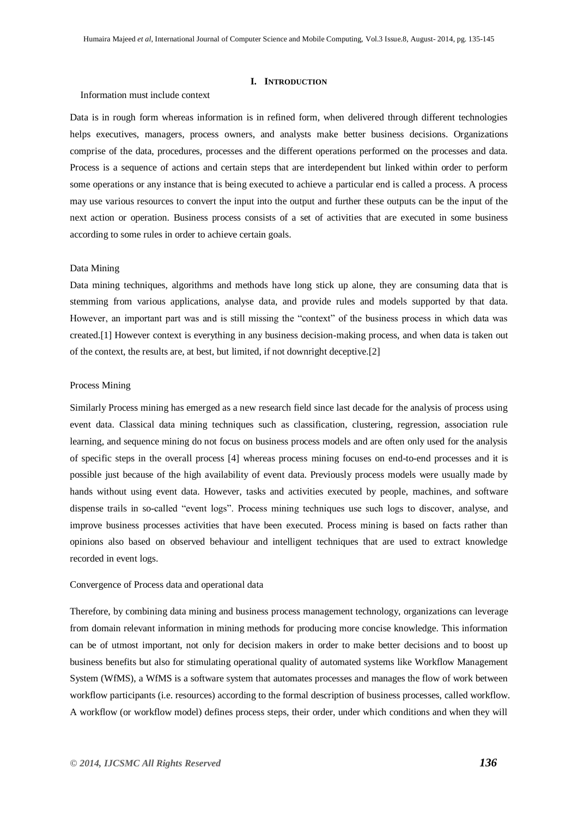#### **I. INTRODUCTION**

#### Information must include context

Data is in rough form whereas information is in refined form, when delivered through different technologies helps executives, managers, process owners, and analysts make better business decisions. Organizations comprise of the data, procedures, processes and the different operations performed on the processes and data. Process is a sequence of actions and certain steps that are interdependent but linked within order to perform some operations or any instance that is being executed to achieve a particular end is called a process. A process may use various resources to convert the input into the output and further these outputs can be the input of the next action or operation. Business process consists of a set of activities that are executed in some business according to some rules in order to achieve certain goals.

#### Data Mining

Data mining techniques, algorithms and methods have long stick up alone, they are consuming data that is stemming from various applications, analyse data, and provide rules and models supported by that data. However, an important part was and is still missing the "context" of the business process in which data was created.[1] However context is everything in any business decision-making process, and when data is taken out of the context, the results are, at best, but limited, if not downright deceptive.[2]

#### Process Mining

Similarly Process mining has emerged as a new research field since last decade for the analysis of process using event data. Classical data mining techniques such as classification, clustering, regression, association rule learning, and sequence mining do not focus on business process models and are often only used for the analysis of specific steps in the overall process [4] whereas process mining focuses on end-to-end processes and it is possible just because of the high availability of event data. Previously process models were usually made by hands without using event data. However, tasks and activities executed by people, machines, and software dispense trails in so-called "event logs". Process mining techniques use such logs to discover, analyse, and improve business processes activities that have been executed. Process mining is based on facts rather than opinions also based on observed behaviour and intelligent techniques that are used to extract knowledge recorded in event logs.

#### Convergence of Process data and operational data

Therefore, by combining data mining and business process management technology, organizations can leverage from domain relevant information in mining methods for producing more concise knowledge. This information can be of utmost important, not only for decision makers in order to make better decisions and to boost up business benefits but also for stimulating operational quality of automated systems like Workflow Management System (WfMS), a WfMS is a software system that automates processes and manages the flow of work between workflow participants (i.e. resources) according to the formal description of business processes, called workflow. A workflow (or workflow model) defines process steps, their order, under which conditions and when they will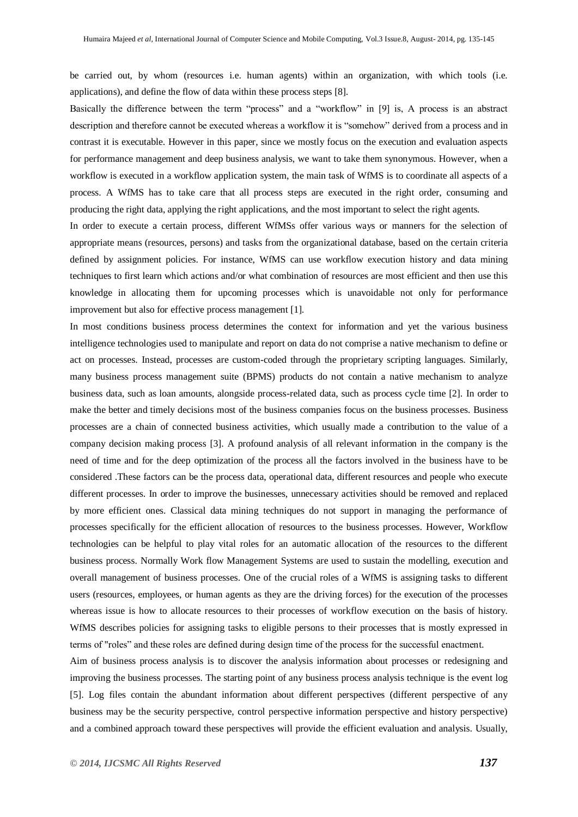be carried out, by whom (resources i.e. human agents) within an organization, with which tools (i.e. applications), and define the flow of data within these process steps [8].

Basically the difference between the term "process" and a "workflow" in [9] is, A process is an abstract description and therefore cannot be executed whereas a workflow it is "somehow" derived from a process and in contrast it is executable. However in this paper, since we mostly focus on the execution and evaluation aspects for performance management and deep business analysis, we want to take them synonymous. However, when a workflow is executed in a workflow application system, the main task of WfMS is to coordinate all aspects of a process. A WfMS has to take care that all process steps are executed in the right order, consuming and producing the right data, applying the right applications, and the most important to select the right agents.

In order to execute a certain process, different WfMSs offer various ways or manners for the selection of appropriate means (resources, persons) and tasks from the organizational database, based on the certain criteria defined by assignment policies. For instance, WfMS can use workflow execution history and data mining techniques to first learn which actions and/or what combination of resources are most efficient and then use this knowledge in allocating them for upcoming processes which is unavoidable not only for performance improvement but also for effective process management [1].

In most conditions business process determines the context for information and yet the various business intelligence technologies used to manipulate and report on data do not comprise a native mechanism to define or act on processes. Instead, processes are custom-coded through the proprietary scripting languages. Similarly, many business process management suite (BPMS) products do not contain a native mechanism to analyze business data, such as loan amounts, alongside process-related data, such as process cycle time [2]. In order to make the better and timely decisions most of the business companies focus on the business processes. Business processes are a chain of connected business activities, which usually made a contribution to the value of a company decision making process [3]. A profound analysis of all relevant information in the company is the need of time and for the deep optimization of the process all the factors involved in the business have to be considered .These factors can be the process data, operational data, different resources and people who execute different processes. In order to improve the businesses, unnecessary activities should be removed and replaced by more efficient ones. Classical data mining techniques do not support in managing the performance of processes specifically for the efficient allocation of resources to the business processes. However, Workflow technologies can be helpful to play vital roles for an automatic allocation of the resources to the different business process. Normally Work flow Management Systems are used to sustain the modelling, execution and overall management of business processes. One of the crucial roles of a WfMS is assigning tasks to different users (resources, employees, or human agents as they are the driving forces) for the execution of the processes whereas issue is how to allocate resources to their processes of workflow execution on the basis of history. WfMS describes policies for assigning tasks to eligible persons to their processes that is mostly expressed in terms of "roles" and these roles are defined during design time of the process for the successful enactment.

Aim of business process analysis is to discover the analysis information about processes or redesigning and improving the business processes. The starting point of any business process analysis technique is the event log [5]. Log files contain the abundant information about different perspectives (different perspective of any business may be the security perspective, control perspective information perspective and history perspective) and a combined approach toward these perspectives will provide the efficient evaluation and analysis. Usually,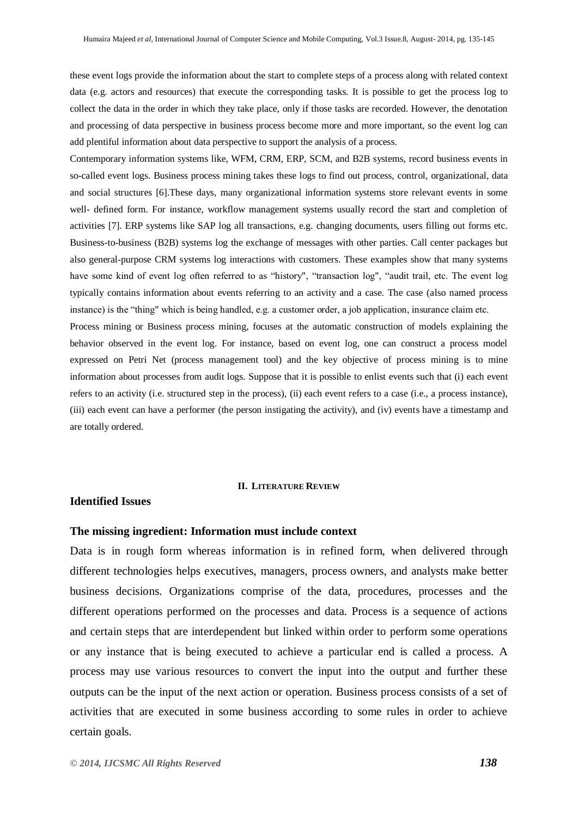these event logs provide the information about the start to complete steps of a process along with related context data (e.g. actors and resources) that execute the corresponding tasks. It is possible to get the process log to collect the data in the order in which they take place, only if those tasks are recorded. However, the denotation and processing of data perspective in business process become more and more important, so the event log can add plentiful information about data perspective to support the analysis of a process.

Contemporary information systems like, WFM, CRM, ERP, SCM, and B2B systems, record business events in so-called event logs. Business process mining takes these logs to find out process, control, organizational, data and social structures [6].These days, many organizational information systems store relevant events in some well- defined form. For instance, workflow management systems usually record the start and completion of activities [7]. ERP systems like SAP log all transactions, e.g. changing documents, users filling out forms etc. Business-to-business (B2B) systems log the exchange of messages with other parties. Call center packages but also general-purpose CRM systems log interactions with customers. These examples show that many systems have some kind of event log often referred to as "history", "transaction log", "audit trail, etc. The event log typically contains information about events referring to an activity and a case. The case (also named process instance) is the "thing" which is being handled, e.g. a customer order, a job application, insurance claim etc.

Process mining or Business process mining, focuses at the automatic construction of models explaining the behavior observed in the event log. For instance, based on event log, one can construct a process model expressed on Petri Net (process management tool) and the key objective of process mining is to mine information about processes from audit logs. Suppose that it is possible to enlist events such that (i) each event refers to an activity (i.e. structured step in the process), (ii) each event refers to a case (i.e., a process instance), (iii) each event can have a performer (the person instigating the activity), and (iv) events have a timestamp and are totally ordered.

#### **II. LITERATURE REVIEW**

### **Identified Issues**

### **The missing ingredient: Information must include context**

Data is in rough form whereas information is in refined form, when delivered through different technologies helps executives, managers, process owners, and analysts make better business decisions. Organizations comprise of the data, procedures, processes and the different operations performed on the processes and data. Process is a sequence of actions and certain steps that are interdependent but linked within order to perform some operations or any instance that is being executed to achieve a particular end is called a process. A process may use various resources to convert the input into the output and further these outputs can be the input of the next action or operation. Business process consists of a set of activities that are executed in some business according to some rules in order to achieve certain goals.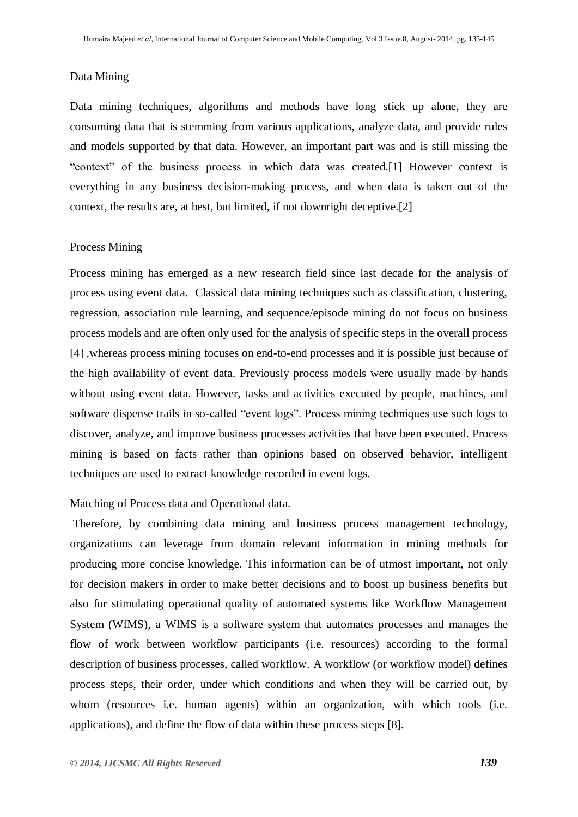### Data Mining

Data mining techniques, algorithms and methods have long stick up alone, they are consuming data that is stemming from various applications, analyze data, and provide rules and models supported by that data. However, an important part was and is still missing the "context" of the business process in which data was created.[1] However context is everything in any business decision-making process, and when data is taken out of the context, the results are, at best, but limited, if not downright deceptive.[2]

### Process Mining

Process mining has emerged as a new research field since last decade for the analysis of process using event data. Classical data mining techniques such as classification, clustering, regression, association rule learning, and sequence/episode mining do not focus on business process models and are often only used for the analysis of specific steps in the overall process [4] ,whereas process mining focuses on end-to-end processes and it is possible just because of the high availability of event data. Previously process models were usually made by hands without using event data. However, tasks and activities executed by people, machines, and software dispense trails in so-called "event logs". Process mining techniques use such logs to discover, analyze, and improve business processes activities that have been executed. Process mining is based on facts rather than opinions based on observed behavior, intelligent techniques are used to extract knowledge recorded in event logs.

### Matching of Process data and Operational data.

Therefore, by combining data mining and business process management technology, organizations can leverage from domain relevant information in mining methods for producing more concise knowledge. This information can be of utmost important, not only for decision makers in order to make better decisions and to boost up business benefits but also for stimulating operational quality of automated systems like Workflow Management System (WfMS), a WfMS is a software system that automates processes and manages the flow of work between workflow participants (i.e. resources) according to the formal description of business processes, called workflow. A workflow (or workflow model) defines process steps, their order, under which conditions and when they will be carried out, by whom (resources i.e. human agents) within an organization, with which tools (i.e. applications), and define the flow of data within these process steps [8].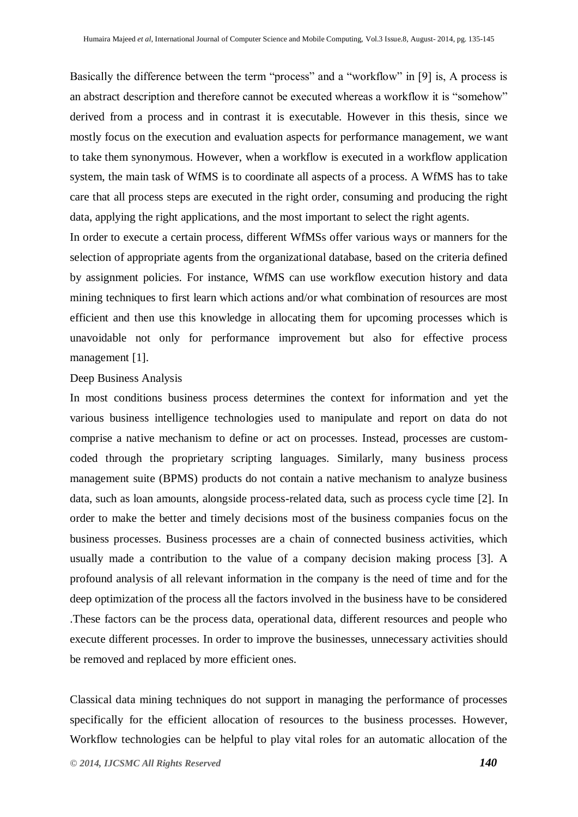Basically the difference between the term "process" and a "workflow" in [9] is, A process is an abstract description and therefore cannot be executed whereas a workflow it is "somehow" derived from a process and in contrast it is executable. However in this thesis, since we mostly focus on the execution and evaluation aspects for performance management, we want to take them synonymous. However, when a workflow is executed in a workflow application system, the main task of WfMS is to coordinate all aspects of a process. A WfMS has to take care that all process steps are executed in the right order, consuming and producing the right data, applying the right applications, and the most important to select the right agents.

In order to execute a certain process, different WfMSs offer various ways or manners for the selection of appropriate agents from the organizational database, based on the criteria defined by assignment policies. For instance, WfMS can use workflow execution history and data mining techniques to first learn which actions and/or what combination of resources are most efficient and then use this knowledge in allocating them for upcoming processes which is unavoidable not only for performance improvement but also for effective process management [1].

### Deep Business Analysis

In most conditions business process determines the context for information and yet the various business intelligence technologies used to manipulate and report on data do not comprise a native mechanism to define or act on processes. Instead, processes are customcoded through the proprietary scripting languages. Similarly, many business process management suite (BPMS) products do not contain a native mechanism to analyze business data, such as loan amounts, alongside process-related data, such as process cycle time [2]. In order to make the better and timely decisions most of the business companies focus on the business processes. Business processes are a chain of connected business activities, which usually made a contribution to the value of a company decision making process [3]. A profound analysis of all relevant information in the company is the need of time and for the deep optimization of the process all the factors involved in the business have to be considered .These factors can be the process data, operational data, different resources and people who execute different processes. In order to improve the businesses, unnecessary activities should be removed and replaced by more efficient ones.

Classical data mining techniques do not support in managing the performance of processes specifically for the efficient allocation of resources to the business processes. However, Workflow technologies can be helpful to play vital roles for an automatic allocation of the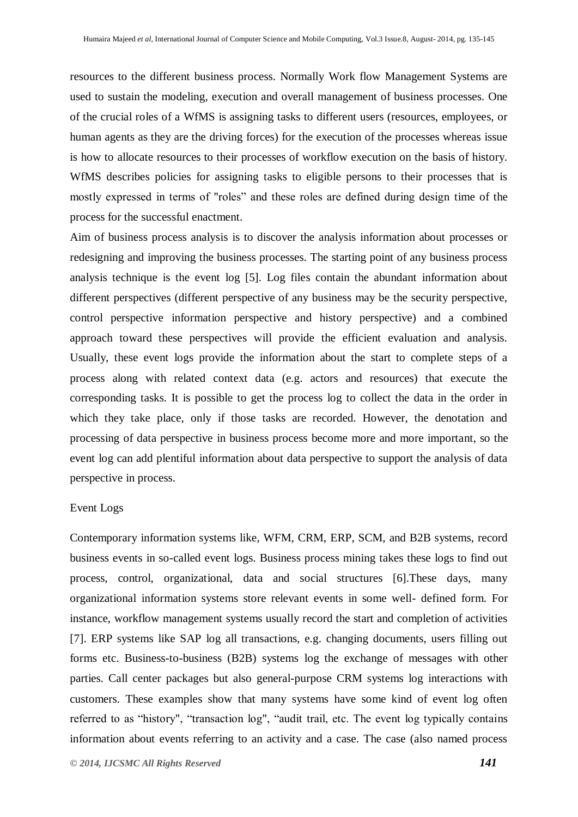resources to the different business process. Normally Work flow Management Systems are used to sustain the modeling, execution and overall management of business processes. One of the crucial roles of a WfMS is assigning tasks to different users (resources, employees, or human agents as they are the driving forces) for the execution of the processes whereas issue is how to allocate resources to their processes of workflow execution on the basis of history. WfMS describes policies for assigning tasks to eligible persons to their processes that is mostly expressed in terms of "roles" and these roles are defined during design time of the process for the successful enactment.

Aim of business process analysis is to discover the analysis information about processes or redesigning and improving the business processes. The starting point of any business process analysis technique is the event log [5]. Log files contain the abundant information about different perspectives (different perspective of any business may be the security perspective, control perspective information perspective and history perspective) and a combined approach toward these perspectives will provide the efficient evaluation and analysis. Usually, these event logs provide the information about the start to complete steps of a process along with related context data (e.g. actors and resources) that execute the corresponding tasks. It is possible to get the process log to collect the data in the order in which they take place, only if those tasks are recorded. However, the denotation and processing of data perspective in business process become more and more important, so the event log can add plentiful information about data perspective to support the analysis of data perspective in process.

#### Event Logs

Contemporary information systems like, WFM, CRM, ERP, SCM, and B2B systems, record business events in so-called event logs. Business process mining takes these logs to find out process, control, organizational, data and social structures [6].These days, many organizational information systems store relevant events in some well- defined form. For instance, workflow management systems usually record the start and completion of activities [7]. ERP systems like SAP log all transactions, e.g. changing documents, users filling out forms etc. Business-to-business (B2B) systems log the exchange of messages with other parties. Call center packages but also general-purpose CRM systems log interactions with customers. These examples show that many systems have some kind of event log often referred to as "history", "transaction log", "audit trail, etc. The event log typically contains information about events referring to an activity and a case. The case (also named process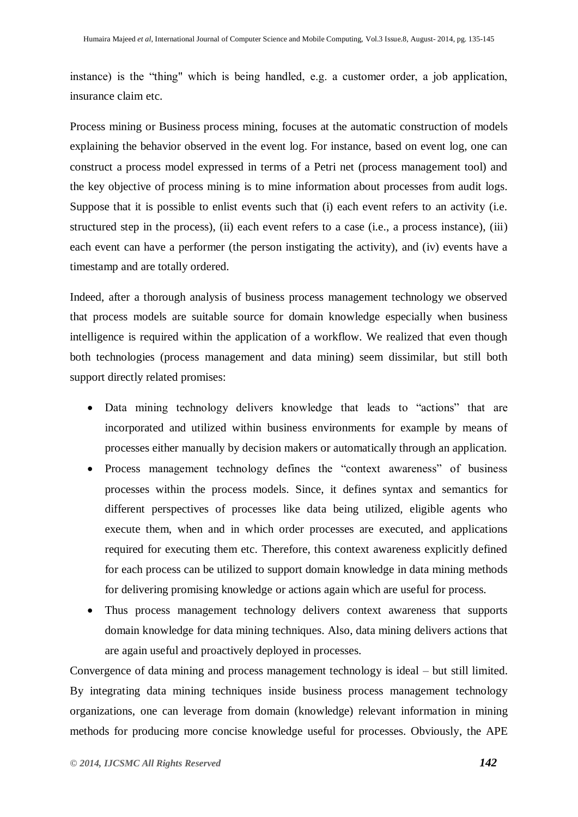instance) is the "thing" which is being handled, e.g. a customer order, a job application, insurance claim etc.

Process mining or Business process mining, focuses at the automatic construction of models explaining the behavior observed in the event log. For instance, based on event log, one can construct a process model expressed in terms of a Petri net (process management tool) and the key objective of process mining is to mine information about processes from audit logs. Suppose that it is possible to enlist events such that (i) each event refers to an activity (i.e. structured step in the process), (ii) each event refers to a case (i.e., a process instance), (iii) each event can have a performer (the person instigating the activity), and (iv) events have a timestamp and are totally ordered.

Indeed, after a thorough analysis of business process management technology we observed that process models are suitable source for domain knowledge especially when business intelligence is required within the application of a workflow. We realized that even though both technologies (process management and data mining) seem dissimilar, but still both support directly related promises:

- Data mining technology delivers knowledge that leads to "actions" that are incorporated and utilized within business environments for example by means of processes either manually by decision makers or automatically through an application.
- Process management technology defines the "context awareness" of business processes within the process models. Since, it defines syntax and semantics for different perspectives of processes like data being utilized, eligible agents who execute them, when and in which order processes are executed, and applications required for executing them etc. Therefore, this context awareness explicitly defined for each process can be utilized to support domain knowledge in data mining methods for delivering promising knowledge or actions again which are useful for process.
- Thus process management technology delivers context awareness that supports domain knowledge for data mining techniques. Also, data mining delivers actions that are again useful and proactively deployed in processes.

Convergence of data mining and process management technology is ideal – but still limited. By integrating data mining techniques inside business process management technology organizations, one can leverage from domain (knowledge) relevant information in mining methods for producing more concise knowledge useful for processes. Obviously, the APE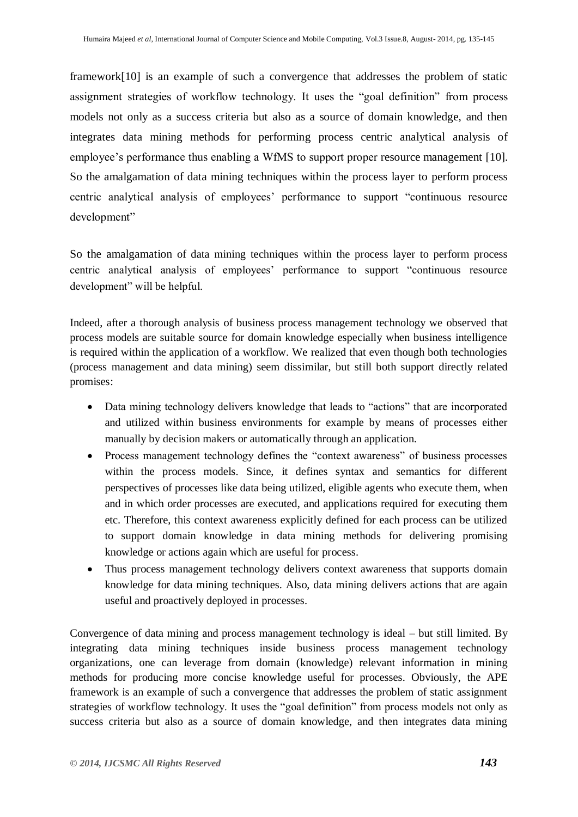framework[10] is an example of such a convergence that addresses the problem of static assignment strategies of workflow technology. It uses the "goal definition" from process models not only as a success criteria but also as a source of domain knowledge, and then integrates data mining methods for performing process centric analytical analysis of employee's performance thus enabling a WfMS to support proper resource management [10]. So the amalgamation of data mining techniques within the process layer to perform process centric analytical analysis of employees' performance to support "continuous resource development"

So the amalgamation of data mining techniques within the process layer to perform process centric analytical analysis of employees' performance to support "continuous resource development" will be helpful.

Indeed, after a thorough analysis of business process management technology we observed that process models are suitable source for domain knowledge especially when business intelligence is required within the application of a workflow. We realized that even though both technologies (process management and data mining) seem dissimilar, but still both support directly related promises:

- Data mining technology delivers knowledge that leads to "actions" that are incorporated and utilized within business environments for example by means of processes either manually by decision makers or automatically through an application.
- Process management technology defines the "context awareness" of business processes within the process models. Since, it defines syntax and semantics for different perspectives of processes like data being utilized, eligible agents who execute them, when and in which order processes are executed, and applications required for executing them etc. Therefore, this context awareness explicitly defined for each process can be utilized to support domain knowledge in data mining methods for delivering promising knowledge or actions again which are useful for process.
- Thus process management technology delivers context awareness that supports domain knowledge for data mining techniques. Also, data mining delivers actions that are again useful and proactively deployed in processes.

Convergence of data mining and process management technology is ideal – but still limited. By integrating data mining techniques inside business process management technology organizations, one can leverage from domain (knowledge) relevant information in mining methods for producing more concise knowledge useful for processes. Obviously, the APE framework is an example of such a convergence that addresses the problem of static assignment strategies of workflow technology. It uses the "goal definition" from process models not only as success criteria but also as a source of domain knowledge, and then integrates data mining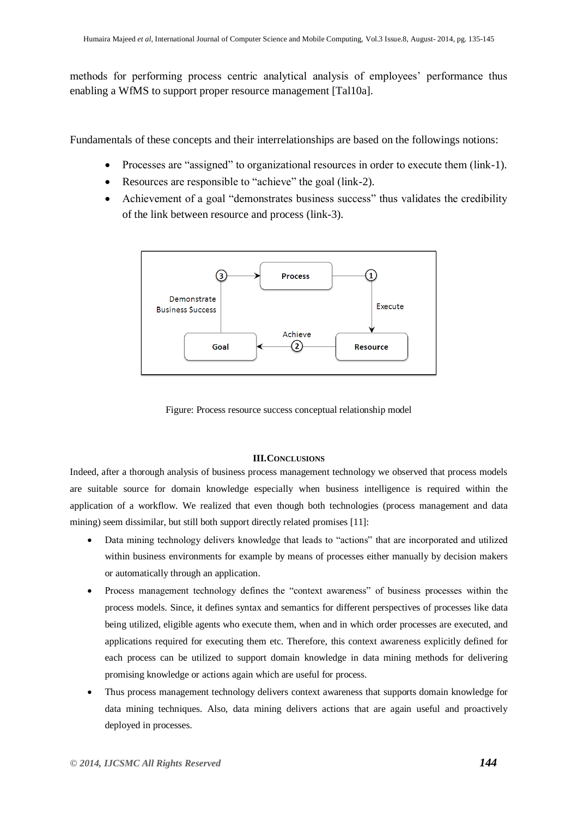methods for performing process centric analytical analysis of employees' performance thus enabling a WfMS to support proper resource management [Tal10a].

Fundamentals of these concepts and their interrelationships are based on the followings notions:

- Processes are "assigned" to organizational resources in order to execute them (link-1).
- Resources are responsible to "achieve" the goal (link-2).
- Achievement of a goal "demonstrates business success" thus validates the credibility of the link between resource and process (link-3).



Figure: Process resource success conceptual relationship model

### **III.CONCLUSIONS**

Indeed, after a thorough analysis of business process management technology we observed that process models are suitable source for domain knowledge especially when business intelligence is required within the application of a workflow. We realized that even though both technologies (process management and data mining) seem dissimilar, but still both support directly related promises [11]:

- Data mining technology delivers knowledge that leads to "actions" that are incorporated and utilized within business environments for example by means of processes either manually by decision makers or automatically through an application.
- Process management technology defines the "context awareness" of business processes within the process models. Since, it defines syntax and semantics for different perspectives of processes like data being utilized, eligible agents who execute them, when and in which order processes are executed, and applications required for executing them etc. Therefore, this context awareness explicitly defined for each process can be utilized to support domain knowledge in data mining methods for delivering promising knowledge or actions again which are useful for process.
- Thus process management technology delivers context awareness that supports domain knowledge for data mining techniques. Also, data mining delivers actions that are again useful and proactively deployed in processes.